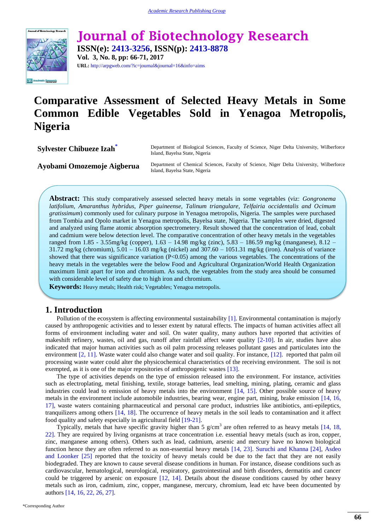

**Journal of Biotechnology Research ISSN(e): 2413-3256, ISSN(p): 2413-8878 Vol. 3, No. 8, pp: 66-71, 2017**

**URL:** http://arpgweb.com/?ic=journal&journal=16&info=aims

# **Comparative Assessment of Selected Heavy Metals in Some Common Edible Vegetables Sold in Yenagoa Metropolis, Nigeria**

**Sylvester C[h](#page-0-0)ibueze Izah<sup>\*</sup>** Department of Biological Sciences, Faculty of Science, Niger Delta University, Wilberforce Island, Bayelsa State, Nigeria

Ayobami Omozemoje Aigberua Department of Chemical Sciences, Faculty of Science, Niger Delta University, Wilberforce Island, Bayelsa State, Nigeria

**Abstract:** This study comparatively assessed selected heavy metals in some vegetables (viz: *Gongronema latifolium, Amaranthus hybridus, Piper guineense, Talinum triangulare, Telfairia occidentalis and Ocimum gratissimum*) commonly used for culinary purpose in Yenagoa metropolis, Nigeria. The samples were purchased from Tombia and Opolo market in Yenagoa metropolis, Bayelsa state, Nigeria. The samples were dried, digested and analyzed using flame atomic absorption spectrometery. Result showed that the concentration of lead, cobalt and cadmium were below detection level. The comparative concentration of other heavy metals in the vegetables ranged from 1.85 - 3.55mg/kg (copper), 1.63 – 14.98 mg/kg (zinc), 5.83 – 186.59 mg/kg (manganese), 8.12 – 31.72 mg/kg (chromium),  $5.01 - 16.03$  mg/kg (nickel) and  $307.60 - 1051.31$  mg/kg (iron). Analysis of variance showed that there was significance variation  $(P<0.05)$  among the various vegetables. The concentrations of the heavy metals in the vegetables were the below Food and Agricultural Organization/World Health Organization maximum limit apart for iron and chromium. As such, the vegetables from the study area should be consumed with considerable level of safety due to high iron and chromium.

**Keywords:** Heavy metals; Health risk; Vegetables; Yenagoa metropolis.

## **1. Introduction**

Pollution of the ecosystem is affecting environmental sustainability [\[1\]](#page-3-0). Environmental contamination is majorly caused by anthropogenic activities and to lesser extent by natural effects. The impacts of human activities affect all forms of environment including water and soil. On water quality, many authors have reported that activities of makeshift refinery, wastes, oil and gas, runoff after rainfall affect water quality [\[2-10\]](#page-3-1). In air, studies have also indicated that major human activities such as oil palm processing releases pollutant gases and particulates into the environment [\[2,](#page-3-1) [11\]](#page-4-0). Waste water could also change water and soil quality. For instance, [\[12\]](#page-4-1). reported that palm oil processing waste water could alter the physicochemical characteristics of the receiving environment. The soil is not exempted, as it is one of the major repositories of anthropogenic wastes [\[13\]](#page-4-2).

The type of activities depends on the type of emission released into the environment. For instance, activities such as electroplating, metal finishing, textile, storage batteries, lead smelting, mining, plating, ceramic and glass industries could lead to emission of heavy metals into the environment [\[14,](#page-4-3) [15\]](#page-4-4). Other possible source of heavy metals in the environment include automobile industries, bearing wear, engine part, mining, brake emission [\[14,](#page-4-3) [16,](#page-4-5) [17\]](#page-4-6), waste waters containing pharmaceutical and personal care product, industries like antibiotics, anti-epileptics, tranquilizers among others [\[14,](#page-4-3) [18\]](#page-4-7). The occurrence of heavy metals in the soil leads to contamination and it affect food quality and safety especially in agricultural field [\[19-21\]](#page-4-8).

<span id="page-0-0"></span>Typically, metals that have specific gravity higher than 5  $g/cm<sup>3</sup>$  are often referred to as heavy metals [\[14,](#page-4-3) [18,](#page-4-7) [22\]](#page-4-9). They are required by living organisms at trace concentration i.e. essential heavy metals (such as iron, copper, zinc, manganese among others). Others such as lead, cadmium, arsenic and mercury have no known biological function hence they are often referred to as non-essential heavy metals [\[14,](#page-4-3) [23\]](#page-4-10). [Suruchi and Khanna \[24\],](#page-4-11) [Asdeo](#page-4-12)  and Loonker [25] reported that the toxicity of heavy metals could be due to the fact that they are not easily biodegraded. They are known to cause several disease conditions in human. For instance, disease conditions such as cardiovascular, hematological, neurological, respiratory, gastrointestinal and birth disorders, dermatitis and cancer could be triggered by arsenic on exposure [\[12,](#page-4-1) [14\]](#page-4-3). Details about the disease conditions caused by other heavy metals such as iron, cadmium, zinc, copper, manganese, mercury, chromium, lead etc have been documented by authors [\[14,](#page-4-3) [16,](#page-4-5) [22,](#page-4-9) [26,](#page-4-13) [27\]](#page-4-14).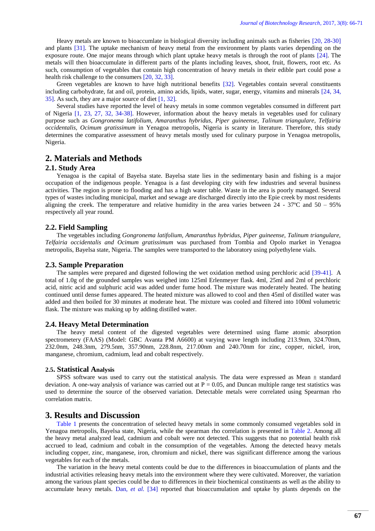Heavy metals are known to bioaccumlate in biological diversity including animals such as fisheries [\[20,](#page-4-15) [28-30\]](#page-4-16) and plants [\[31\]](#page-4-17). The uptake mechanism of heavy metal from the environment by plants varies depending on the exposure route. One major means through which plant uptake heavy metals is through the root of plants [\[24\]](#page-4-11). The metals will then bioaccumulate in different parts of the plants including leaves, shoot, fruit, flowers, root etc. As such, consumption of vegetables that contain high concentration of heavy metals in their edible part could pose a health risk challenge to the consumers [\[20,](#page-4-15) [32,](#page-4-18) [33\]](#page-4-19).

Green vegetables are known to have high nutritional benefits [\[32\]](#page-4-18). Vegetables contain several constituents including carbohydrate, fat and oil, protein, amino acids, lipids, water, sugar, energy, vitamins and minerals [\[24,](#page-4-11) [34,](#page-5-0) [35\]](#page-5-1). As such, they are a major source of diet [\[1,](#page-3-0) [32\]](#page-4-18).

Several studies have reported the level of heavy metals in some common vegetables consumed in different part of Nigeria [\[1,](#page-3-0) [23,](#page-4-10) [27,](#page-4-14) [32,](#page-4-18) [34-38\]](#page-5-0). However, information about the heavy metals in vegetables used for culinary purpose such as *Gongronema latifolium, Amaranthus hybridus, Piper guineense, Talinum triangulare, Telfairia occidentalis, Ocimum gratissimum* in Yenagoa metropolis, Nigeria is scanty in literature. Therefore, this study determines the comparative assessment of heavy metals mostly used for culinary purpose in Yenagoa metropolis, Nigeria.

# **2. Materials and Methods**

#### **2.1. Study Area**

Yenagoa is the capital of Bayelsa state. Bayelsa state lies in the sedimentary basin and fishing is a major occupation of the indigenous people. Yenagoa is a fast developing city with few industries and several business activities. The region is prone to flooding and has a high water table. Waste in the area is poorly managed. Several types of wastes including municipal, market and sewage are discharged directly into the Epie creek by most residents aligning the creek. The temperature and relative humidity in the area varies between  $24 - 37^{\circ}$ C and  $50 - 95\%$ respectively all year round.

#### **2.2. Field Sampling**

The vegetables including *Gongronema latifolium, Amaranthus hybridus, Piper guineense, Talinum triangulare, Telfairia occidentalis and Ocimum gratissimum* was purchased from Tombia and Opolo market in Yenagoa metropolis, Bayelsa state, Nigeria. The samples were transported to the laboratory using polyethylene vials.

#### **2.3. Sample Preparation**

The samples were prepared and digested following the wet oxidation method using perchloric acid [\[39-41\]](#page-5-2). A total of 1.0g of the grounded samples was weighed into 125ml Erlenmeyer flask. 4ml, 25ml and 2ml of perchloric acid, nitric acid and sulphuric acid was added under fume hood. The mixture was moderately heated. The heating continued until dense fumes appeared. The heated mixture was allowed to cool and then 45ml of distilled water was added and then boiled for 30 minutes at moderate heat. The mixture was cooled and filtered into 100ml volumetric flask. The mixture was making up by adding distilled water.

#### **2.4. Heavy Metal Determination**

The heavy metal content of the digested vegetables were determined using flame atomic absorption spectrometery (FAAS) (Model: GBC Avanta PM A6600) at varying wave length including 213.9nm, 324.70nm, 232.0nm, 248.3nm, 279.5nm, 357.90nm, 228.8nm, 217.00nm and 240.70nm for zinc, copper, nickel, iron, manganese, chromium, cadmium, lead and cobalt respectively.

#### **2.5. Statistical Analysis**

SPSS software was used to carry out the statistical analysis. The data were expressed as Mean  $\pm$  standard deviation. A one-way analysis of variance was carried out at  $P = 0.05$ , and Duncan multiple range test statistics was used to determine the source of the observed variation. Detectable metals were correlated using Spearman rho correlation matrix.

# **3. Results and Discussion**

[Table 1](#page-2-0) presents the concentration of selected heavy metals in some commonly consumed vegetables sold in Yenagoa metropolis, Bayelsa state, Nigeria, while the spearman rho correlation is presented in [Table 2.](#page-2-1) Among all the heavy metal analyzed lead, cadmium and cobalt were not detected. This suggests that no potential health risk accrued to lead, cadmium and cobalt in the consumption of the vegetables. Among the detected heavy metals including copper, zinc, manganese, iron, chromium and nickel, there was significant difference among the various vegetables for each of the metals.

The variation in the heavy metal contents could be due to the differences in bioaccumulation of plants and the industrial activities releasing heavy metals into the environment where they were cultivated. Moreover, the variation among the various plant species could be due to differences in their biochemical constituents as well as the ability to accumulate heavy metals. Dan*[, et al.](#page-5-0)* [34] reported that bioaccumulation and uptake by plants depends on the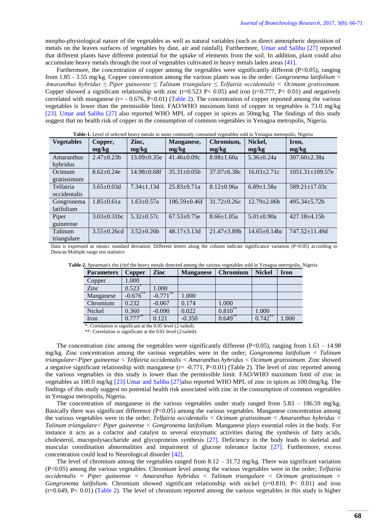morpho-physiological nature of the vegetables as well as natural variables (such as direct atmospheric deposition of metals on the leaves surfaces of vegetables by dust, air and rainfall). Furthermore, [Umar and Salihu \[27\]](#page-4-14) reported that different plants have different potential for the uptake of elements from the soil. In addition, plant could also accumulate heavy metals through the root of vegetables cultivated in heavy metals laden areas [\[41\]](#page-5-3).

Furthermore, the concentration of copper among the vegetables were significantly different (P<0.05), ranging from 1.85 - 3.55 mg/kg. Copper concentration among the various plants was in the order: *Gongronema latifolium < Amaranthus hybridus ≤ Piper guineense ≤ Talinum triangulare ≤ Telfairia occidentalis < Ocimum gratissimum.* Copper showed a significant relationship with zinc ( $r=0.523$  P< 0.05) and iron ( $r=0.777$ , P< 0.01) and negatively correlated with manganese  $(r = -0.676, P < 0.01)$  [\(Table 2\)](#page-2-1). The concentration of copper reported among the various vegetables is lower than the permissible limit. FAO/WHO maximum limit of copper in vegetables is 73.0 mg/kg [\[23\]](#page-4-10). [Umar and Salihu \[27\]](#page-4-14) also reported WHO MPL of copper in spices as 50mg/kg. The findings of this study suggest that no health risk of copper in the consumption of common vegetables in Yenagoa metropolis, Nigeria.

<span id="page-2-0"></span>

| <b>Table-1.</b> Level of selected neavy metals in some commonly consumed vegetables sold in Yenagoa metropolis, Nigeria |                    |                    |                    |                    |                     |                       |  |  |  |  |
|-------------------------------------------------------------------------------------------------------------------------|--------------------|--------------------|--------------------|--------------------|---------------------|-----------------------|--|--|--|--|
| <b>Vegetables</b>                                                                                                       | Copper,            | Zinc,              | Manganese,         | Chromium,          | Nickel,             | Iron,                 |  |  |  |  |
|                                                                                                                         | mg/kg              | mg/kg              | mg/kg              | mg/kg              | mg/kg               | mg/kg                 |  |  |  |  |
| Amaranthus                                                                                                              | $2.47 \pm 0.23b$   | $13.09 \pm 0.35e$  | $41.46 \pm 0.09c$  | $8.08 \pm 1.60a$   | $5.36 \pm 0.24a$    | $307.60 \pm 2.38a$    |  |  |  |  |
| hybridus                                                                                                                |                    |                    |                    |                    |                     |                       |  |  |  |  |
| Ocimum                                                                                                                  | $8.62 \pm 0.24e$   | $14.98 \pm 0.68$ f | $35.31 \pm 0.05b$  | $37.07 \pm 6.38c$  | $16.03 \pm 2.71c$   | $1051.31 \pm 109.57e$ |  |  |  |  |
| gratissimum                                                                                                             |                    |                    |                    |                    |                     |                       |  |  |  |  |
| Telfairia                                                                                                               | $3.65 + 0.03d$     | $7.34 + 1.13d$     | $25.83 \pm 0.71a$  | $8.12 \pm 0.96a$   | $6.89 \pm 1.58a$    | $589.21 \pm 17.03c$   |  |  |  |  |
| occidentalis                                                                                                            |                    |                    |                    |                    |                     |                       |  |  |  |  |
| Gongronema                                                                                                              | $1.85 \pm 0.61a$   | $1.63 \pm 0.57a$   | 186.59±0.46f       | $31.72 \pm 0.26c$  | $12.79 + 2.06h$     | $495.34 \pm 5.72b$    |  |  |  |  |
| latifolium                                                                                                              |                    |                    |                    |                    |                     |                       |  |  |  |  |
| Piper                                                                                                                   | $3.03 \pm 0.31$ bc | $5.32+0.57c$       | $67.53 \pm 0.75e$  | $8.66 \pm 1.05a$   | $5.01 \pm 0.90a$    | $427.18 \pm 4.15b$    |  |  |  |  |
| guineense                                                                                                               |                    |                    |                    |                    |                     |                       |  |  |  |  |
| Talinum                                                                                                                 | $3.55 \pm 0.26$ cd | $3.52 \pm 0.26b$   | $48.17 \pm 3.13$ d | $21.47 \pm 3.89$ b | $14.65 \pm 0.14$ bc | 747.52±11.49d         |  |  |  |  |
| triangulare                                                                                                             |                    |                    |                    |                    |                     |                       |  |  |  |  |

**Table-1.** Level of selected heavy metals in some commonly consumed vegetables sold in Yenagoa metropolis, Nigeria

<span id="page-2-1"></span>Data is expressed as mean $\pm$  standard deviation; Different letters along the column indicate significance variation (P<0.05) according to Duncan Multiple range test statistics

| <b>Parameters</b> | <b>Copper</b> | Zinc        | <b>Manganese</b> | <b>Chromium</b> | <b>Nickel</b> | Iron |
|-------------------|---------------|-------------|------------------|-----------------|---------------|------|
| Copper            | 1.000         |             |                  |                 |               |      |
| Zinc              | 0.523         | 1.000       |                  |                 |               |      |
| Manganese         | $-0.676***$   | $-0.771$ ** | 1.000            |                 |               |      |
| Chromium          | 0.232         | $-0.067$    | 0.174            | 1.000           |               |      |
| Nickel            | 0.360         | $-0.090$    | 0.022            | $0.810***$      | 1.000         |      |
| Iron              | $0.777***$    | 0.121       | $-0.350$         | $0.649***$      | $0.742***$    | .000 |

**Table-2.** Spearman's rho (r)of the heavy metals detected among the various vegetables sold in Yenagoa metropolis, Nigeria

\*. Correlation is significant at the 0.05 level (2-tailed).

\*\*. Correlation is significant at the 0.01 level (2-tailed).

The concentration zinc among the vegetables were significantly different (P<0.05), ranging from  $1.63 - 14.98$ mg/kg. Zinc concentration among the various vegetables were in the order; *Gongronema latifolium < Talinum triangulare<Piper guineense < Telfairia occidentalis < Amaranthus hybridus < Ocimum gratissimum.* Zinc showed a negative significant relationship with manganese  $(r = -0.771, P < 0.01)$  (Table 2). The level of zinc reported among the various vegetables in this study is lower than the permissible limit. FAO/WHO maximum limit of zinc in vegetables as 100.0 mg/kg [\[23\]](#page-4-10)[.Umar and Salihu \[27\]a](#page-4-14)lso reported WHO MPL of zinc in spices as 100.0mg/kg. The findings of this study suggest no potential health risk associated with zinc in the consumption of common vegetables in Yenagoa metropolis, Nigeria.

The concentration of manganese in the various vegetables under study ranged from 5.83 – 186.59 mg/kg. Basically there was significant difference  $(P<0.05)$  among the various vegetables. Manganese concentration among the various vegetables were in the order; *Telfairia occidentalis < Ocimum gratissimum < Amaranthus hybridus < Talinum triangulare< Piper guineense < Gongronema latifolium.* Manganese plays essential roles in the body. For instance it acts as a cofactor and catalyst to several enzymatic activities during the synthesis of fatty acids, cholesterol, mucopolysaccharide and glycoproteins synthesis [\[27\]](#page-4-14). Deficiency in the body leads to skeletal and muscular coordination abnormalities and impairment of glucose tolerance factor [\[27\]](#page-4-14). Furthermore, excess concentration could lead to Neurological disorder [\[42\]](#page-5-4).

The level of chromium among the vegetables ranged from  $8.12 - 31.72$  mg/kg. There was significant variation (P<0.05) among the various vegetables. Chromium level among the various vegetables were in the order; *Telfairia occidentalis = Piper guineense = Amaranthus hybridus < Talinum triangulare < Ocimum gratissimum = Gongronema latifolium.* Chromium showed significant relationship with nickel (r=0.810, P< 0.01) and iron  $(r=0.649, P<0.01)$  [\(Table 2\)](#page-2-1). The level of chromium reported among the various vegetables in this study is higher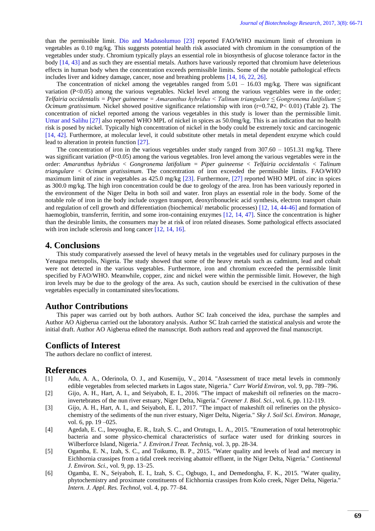than the permissible limit. [Dio and Madusolumuo \[23\]](#page-4-10) reported FAO/WHO maximum limit of chromium in vegetables as 0.10 mg/kg. This suggests potential health risk associated with chromium in the consumption of the vegetables under study. Chromium typically plays an essential role in biosynthesis of glucose tolerance factor in the body [\[14,](#page-4-3) [43\]](#page-5-5) and as such they are essential metals. Authors have variously reported that chromium have deleterious effects in human body when the concentration exceeds permissible limits. Some of the notable pathological effects includes liver and kidney damage, cancer, nose and breathing problems [\[14,](#page-4-3) [16,](#page-4-5) [22,](#page-4-9) [26\]](#page-4-13).

The concentration of nickel among the vegetables ranged from  $5.01 - 16.03$  mg/kg. There was significant variation (P<0.05) among the various vegetables. Nickel level among the various vegetables were in the order; *Telfairia occidentalis = Piper guineense = Amaranthus hybridus < Talinum triangulare ≤ Gongronema latifolium ≤ Ocimum gratissimum.* Nickel showed positive significance relationship with iron (r=0.742, P< 0.01) (Table 2). The concentration of nickel reported among the various vegetables in this study is lower than the permissible limit. [Umar and Salihu \[27\]](#page-4-14) also reported WHO MPL of nickel in spices as 50.0mg/kg. This is an indication that no health risk is posed by nickel. Typically high concentration of nickel in the body could be extremely toxic and carcinogenic [\[14,](#page-4-3) [42\]](#page-5-4). Furthermore, at molecular level, it could substitute other metals in metal dependent enzyme which could lead to alteration in protein function [\[27\]](#page-4-14).

The concentration of iron in the various vegetables under study ranged from 307.60 – 1051.31 mg/kg. There was significant variation (P<0.05) among the various vegetables. Iron level among the various vegetables were in the order: *Amaranthus hybridus < Gongronema latifolium = Piper guineense < Telfairia occidentalis < Talinum triangulare < Ocimum gratissimum*. The concentration of iron exceeded the permissible limits. FAO/WHO maximum limit of zinc in vegetables as 425.0 mg/kg [\[23\]](#page-4-10). Furthermore, [\[27\]](#page-4-14) reported WHO MPL of zinc in spices as 300.0 mg/kg. The high iron concentration could be due to geology of the area. Iron has been variously reported in the environment of the Niger Delta in both soil and water. Iron plays an essential role in the body. Some of the notable role of iron in the body include oxygen transport, deoxyribonucleic acid synthesis, electron transport chain and regulation of cell growth and differentiation (biochemical/ metabolic processes) [\[12,](#page-4-1) [14,](#page-4-3) [44-46\]](#page-5-6) and formation of haemoglobin, transferrin, ferritin, and some iron-containing enzymes [\[12,](#page-4-1) [14,](#page-4-3) [47\]](#page-5-7). Since the concentration is higher than the desirable limits, the consumers may be at risk of iron related diseases. Some pathological effects associated with iron include sclerosis and long cancer [\[12,](#page-4-1) [14,](#page-4-3) [16\]](#page-4-5).

## **4. Conclusions**

This study comparatively assessed the level of heavy metals in the vegetables used for culinary purposes in the Yenagoa metropolis, Nigeria. The study showed that some of the heavy metals such as cadmium, lead and cobalt were not detected in the various vegetables. Furthermore, iron and chromium exceeded the permissible limit specified by FAO/WHO. Meanwhile, copper, zinc and nickel were within the permissible limit. However, the high iron levels may be due to the geology of the area. As such, caution should be exercised in the cultivation of these vegetables especially in contaminated sites/locations.

### **Author Contributions**

This paper was carried out by both authors. Author SC Izah conceived the idea, purchase the samples and Author AO Aigberua carried out the laboratory analysis. Author SC Izah carried the statistical analysis and wrote the initial draft. Author AO Aigberua edited the manuscript. Both authors read and approved the final manuscript.

## **Conflicts of Interest**

The authors declare no conflict of interest.

# **References**

- <span id="page-3-0"></span>[1] Adu, A. A., Oderinola, O. J., and Kusemiju, V., 2014. "Assessment of trace metal levels in commonly edible vegetables from selected markets in Lagos state, Nigeria." *Curr World Environ,* vol. 9, pp. 789–796.
- <span id="page-3-1"></span>[2] Gijo, A. H., Hart, A. I., and Seiyaboh, E. I., 2016. "The impact of makeshift oil refineries on the macroinvertebrates of the nun river estuary, Niger Delta, Nigeria." *Greener J. Biol. Sci.,* vol. 6, pp. 112-119.
- [3] Gijo, A. H., Hart, A. I., and Seiyaboh, E. I., 2017. "The impact of makeshift oil refineries on the physicochemistry of the sediments of the nun river estuary, Niger Delta, Nigeria." *Sky J. Soil Sci. Environ. Manage,*  vol. 6, pp. 19 –025.
- [4] Agedah, E. C., Ineyougha, E. R., Izah, S. C., and Orutugu, L. A., 2015. "Enumeration of total heterotrophic bacteria and some physico-chemical characteristics of surface water used for drinking sources in Wilberforce Island, Nigeria." *J. Environ.l Treat. Techniq,* vol. 3, pp. 28-34.
- [5] Ogamba, E. N., Izah, S. C., and Toikumo, B. P., 2015. "Water quality and levels of lead and mercury in Eichhornia crassipes from a tidal creek receiving abattoir effluent, in the Niger Delta, Nigeria." *Continental J. Environ. Sci.,* vol. 9, pp. 13–25.
- [6] Ogamba, E. N., Seiyaboh, E. I., Izah, S. C., Ogbugo, I., and Demedongha, F. K., 2015. "Water quality, phytochemistry and proximate constituents of Eichhornia crassipes from Kolo creek, Niger Delta, Nigeria." *Intern. J. Appl. Res. Technol,* vol. 4, pp. 77–84.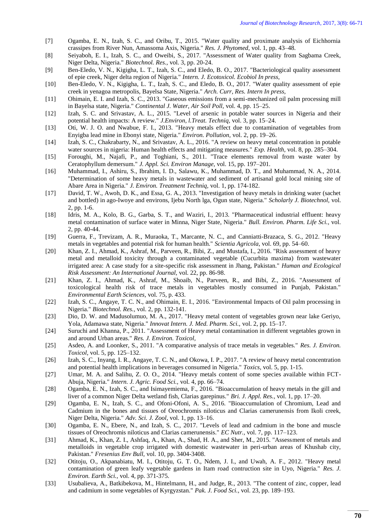- [7] Ogamba, E. N., Izah, S. C., and Oribu, T., 2015. "Water quality and proximate analysis of Eichhornia crassipes from River Nun, Amassoma Axis, Nigeria." *Res. J. Phytomed,* vol. 1, pp. 43–48.
- [8] Seiyaboh, E. I., Izah, S. C., and Oweibi, S., 2017. "Assessment of Water quality from Sagbama Creek, Niger Delta, Nigeria." *Biotechnol. Res.,* vol. 3, pp. 20-24.
- [9] Ben-Eledo, V. N., Kigigha, L. T., Izah, S. C., and Eledo, B. O., 2017. "Bacteriological quality assessment of epie creek, Niger delta region of Nigeria." *Intern. J. Ecotoxicol. Ecobiol In press,*
- [10] Ben-Eledo, V. N., Kigigha, L. T., Izah, S. C., and Eledo, B. O., 2017. "Water quality assessment of epie creek in yenagoa metropolis, Bayelsa State, Nigeria." *Arch. Curr, Res. Intern In press,*
- <span id="page-4-0"></span>[11] Ohimain, E. I. and Izah, S. C., 2013. "Gaseous emissions from a semi-mechanized oil palm processing mill in Bayelsa state, Nigeria." *Continental J. Water, Air Soil Poll,* vol. 4, pp. 15–25.
- <span id="page-4-1"></span>[12] Izah, S. C. and Srivastav, A. L., 2015. "Level of arsenic in potable water sources in Nigeria and their potential health impacts: A review." *J.Environ, l.Treat. Techniq,* vol. 3, pp. 15–24.
- <span id="page-4-2"></span>[13] Oti, W. J. O. and Nwabue, F. I., 2013. "Heavy metals effect due to contamination of vegetables from Enyigba lead mine in Ebonyi state, Nigeria." *Environ. Pollution,* vol. 2, pp. 19–26.
- <span id="page-4-3"></span>[14] Izah, S. C., Chakrabarty, N., and Srivastav, A. L., 2016. "A review on heavy metal concentration in potable water sources in nigeria: Human health effects and mitigating measures." *Exp. Health,* vol. 8, pp. 285–304.
- <span id="page-4-4"></span>[15] Foroughi, M., Najafi, P., and Toghiani, S., 2011. "Trace elements removal from waste water by Ceratophyllum demersum." *J. Appl. Sci. Environ Manage,* vol. 15, pp. 197–201.
- <span id="page-4-5"></span>[16] Muhammad, I., Ashiru, S., Ibrahim, I. D., Salawu, K., Muhammad, D. T., and Muhammad, N. A., 2014. "Determination of some heavy metals in wastewater and sediment of artisanal gold local mining site of Abare Area in Nigeria." *J. Environ. Treatment Techniq,* vol. 1, pp. 174-182.
- <span id="page-4-6"></span>[17] David, T. W., Awoh, D. K., and Essa, G. A., 2013. "Investigation of heavy metals in drinking water (sachet and bottled) in ago-Iwoye and environs, Ijebu North lga, Ogun state, Nigeria." *Scholarly J. Biotechnol,* vol. 2, pp. 1-6.
- <span id="page-4-7"></span>[18] Idris, M. A., Kolo, B. G., Garba, S. T., and Waziri, I., 2013. "Pharmaceutical industrial effluent: heavy metal contamination of surface water in Minna, Niger State, Nigeria." *Bull. Environ. Pharm. Life Sci.,* vol. 2, pp. 40-44.
- <span id="page-4-8"></span>[19] Guerra, F., Trevizam, A. R., Muraoka, T., Marcante, N. C., and Canniatti-Brazaca, S. G., 2012. "Heavy metals in vegetables and potential risk for human health." *Scientia Agricola,* vol. 69, pp. 54–60.
- <span id="page-4-15"></span>[20] Khan, Z. I., Ahmad, K., Ashraf, M., Parveen, R., Bibi, Z., and Mustafa, I., 2016. "Risk assessment of heavy metal and metalloid toxicity through a contaminated vegetable (Cucurbita maxima) from wastewater irrigated area: A case study for a site-specific risk assessment in Jhang, Pakistan." *Human and Ecological Risk Assessment: An International Journal,* vol. 22, pp. 86-98.
- [21] Khan, Z. I., Ahmad, K., Ashraf, M., Shoaib, N., Parveen, R., and Bibi, Z., 2016. "Assessment of toxicological health risk of trace metals in vegetables mostly consumed in Punjab, Pakistan." *Environmental Earth Sciences,* vol. 75, p. 433.
- <span id="page-4-9"></span>[22] Izah, S. C., Angaye, T. C. N., and Ohimain, E. I., 2016. "Environmental Impacts of Oil palm processing in Nigeria." *Biotechnol. Res.,* vol. 2, pp. 132-141.
- <span id="page-4-10"></span>[23] Dio, D. W. and Madusolumuo, M. A., 2017. "Heavy metal content of vegetables grown near lake Geriyo, Yola, Adamawa state, Nigeria." *Innovat Intern. J. Med. Pharm. Sci.,* vol. 2, pp. 15–17.
- <span id="page-4-11"></span>[24] Suruchi and Khanna, P., 2011. "Assessment of Heavy metal contamination in different vegetables grown in and around Urban areas." *Res. J. Environ. Toxicol,*
- <span id="page-4-12"></span>[25] Asdeo, A. and Loonker, S., 2011. "A comparative analysis of trace metals in vegetables." *Res. J. Environ. Toxicol,* vol. 5, pp. 125–132.
- <span id="page-4-13"></span>[26] Izah, S. C., Inyang, I. R., Angaye, T. C. N., and Okowa, I. P., 2017. "A review of heavy metal concentration and potential health implications in beverages consumed in Nigeria." *Toxics,* vol. 5, pp. 1-15.
- <span id="page-4-14"></span>[27] Umar, M. A. and Salihu, Z. O. O., 2014. "Heavy metals content of some species available within FCT-Abuja, Nigeria." *Intern. J. Agric. Food Sci.,* vol. 4, pp. 66–74.
- <span id="page-4-16"></span>[28] Ogamba, E. N., Izah, S. C., and Isimayemiema, F., 2016. "Bioaccumulation of heavy metals in the gill and liver of a common Niger Delta wetland fish, Clarias garepinus." *Bri. J. Appl. Res.,* vol. 1, pp. 17–20.
- [29] Ogamba, E. N., Izah, S. C., and Ofoni-Ofoni, A. S., 2016. "Bioaccumulation of Chromium, Lead and Cadmium in the bones and tissues of Oreochromis niloticus and Clarias camerunensis from Ikoli creek, Niger Delta, Nigeria." *Adv. Sci. J. Zool,* vol. 1, pp. 13–16.
- [30] Ogamba, E. N., Ebere, N., and Izah, S. C., 2017. "Levels of lead and cadmium in the bone and muscle tissues of Oreochromis niloticus and Clarias camerunensis." *EC Nutr.,* vol. 7, pp. 117–123.
- <span id="page-4-17"></span>[31] Ahmad, K., Khan, Z. I., Ashfaq, A., Khan, A., Shad, H. A., and Sher, M., 2015. "Assessment of metals and metalloids in vegetable crop irrigated with domestic wastewater in peri-urban areas of Khushab city, Pakistan." *Fresenius Env Bull,* vol. 10, pp. 3404-3408.
- <span id="page-4-18"></span>[32] Otitoju, O., Akpanabiatu, M. I., Otitoju, G. T. O., Ndem, J. I., and Uwah, A. F., 2012. "Heavy metal contamination of green leafy vegetable gardens in Itam road contruction site in Uyo, Nigeria." *Res. J. Environ. Earth Sci.,* vol. 4, pp. 371-375.
- <span id="page-4-19"></span>[33] Usubalieva, A., Batkibekova, M., Hintelmann, H., and Judge, R., 2013. "The content of zinc, copper, lead and cadmium in some vegetables of Kyrgyzstan." *Pak. J. Food Sci.,* vol. 23, pp. 189–193.